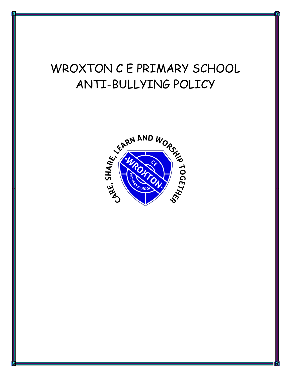# WROXTON C E PRIMARY SCHOOL ANTI-BULLYING POLICY

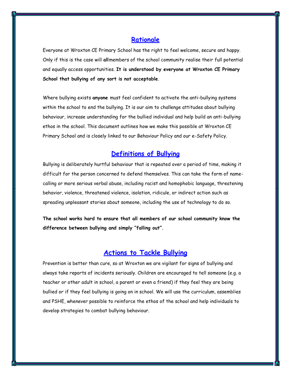#### **Rationale**

Everyone at Wroxton CE Primary School has the right to feel welcome, secure and happy. Only if this is the case will **all**members of the school community realise their full potential and equally access opportunities. **It is understood by everyone at Wroxton CE Primary School that bullying of any sort is not acceptable**.

Where bullying exists **anyone** must feel confident to activate the anti-bullying systems within the school to end the bullying. It is our aim to challenge attitudes about bullying behaviour, increase understanding for the bullied individual and help build an anti-bullying ethos in the school. This document outlines how we make this possible at Wroxton CE Primary School and is closely linked to our Behaviour Policy and our e-Safety Policy.

## **Definitions of Bullying**

Bullying is deliberately hurtful behaviour that is repeated over a period of time, making it difficult for the person concerned to defend themselves. This can take the form of namecalling or more serious verbal abuse, including racist and homophobic language, threatening behavior, violence, threatened violence, isolation, ridicule, or indirect action such as spreading unpleasant stories about someone, including the use of technology to do so.

**The school works hard to ensure that all members of our school community know the difference between bullying and simply "falling out".**

## **Actions to Tackle Bullying**

Prevention is better than cure, so at Wroxton we are vigilant for signs of bullying and always take reports of incidents seriously. Children are encouraged to tell someone (e.g. a teacher or other adult in school, a parent or even a friend) if they feel they are being bullied or if they feel bullying is going on in school. We will use the curriculum, assemblies and PSHE, whenever possible to reinforce the ethos of the school and help individuals to develop strategies to combat bullying behaviour.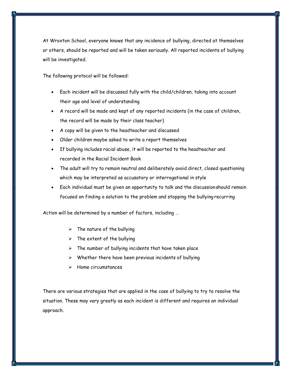At Wroxton School, everyone knows that any incidence of bullying, directed at themselves or others, should be reported and will be taken seriously. All reported incidents of bullying will be investigated.

The following protocol will be followed:

- Each incident will be discussed fully with the child/children, taking into account their age and level of understanding
- A record will be made and kept of any reported incidents (in the case of children, the record will be made by their class teacher)
- A copy will be given to the headteacher and discussed
- Older children maybe asked to write a report themselves
- If bullying includes racial abuse, it will be reported to the headteacher and recorded in the Racial Incident Book
- The adult will try to remain neutral and deliberately avoid direct, closed questioning which may be interpreted as accusatory or interrogational in style
- Each individual must be given an opportunity to talk and the discussionshould remain focused on finding a solution to the problem and stopping the bullying recurring

Action will be determined by a number of factors, including …

- $\triangleright$  The nature of the bullying
- $\triangleright$  The extent of the bullying
- $\triangleright$  The number of bullying incidents that have taken place
- Whether there have been previous incidents of bullying
- Home circumstances

There are various strategies that are applied in the case of bullying to try to resolve the situation. These may vary greatly as each incident is different and requires an individual approach.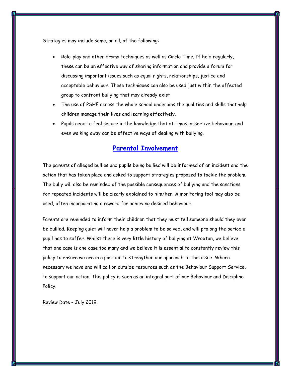Strategies may include some, or all, of the following:

- Role-play and other drama techniques as well as Circle Time. If held regularly, these can be an effective way of sharing information and provide a forum for discussing important issues such as equal rights, relationships, justice and acceptable behaviour. These techniques can also be used just within the affected group to confront bullying that may already exist
- The use of PSHE across the whole school underpins the qualities and skills thathelp children manage their lives and learning effectively.
- Pupils need to feel secure in the knowledge that at times, assertive behaviour, and even walking away can be effective ways of dealing with bullying.

#### **Parental Involvement**

The parents of alleged bullies and pupils being bullied will be informed of an incident and the action that has taken place and asked to support strategies proposed to tackle the problem. The bully will also be reminded of the possible consequences of bullying and the sanctions for repeated incidents will be clearly explained to him/her. A monitoring tool may also be used, often incorporating a reward for achieving desired behaviour.

Parents are reminded to inform their children that they must tell someone should they ever be bullied. Keeping quiet will never help a problem to be solved, and will prolong the period a pupil has to suffer. Whilst there is very little history of bullying at Wroxton, we believe that one case is one case too many and we believe it is essential to constantly review this policy to ensure we are in a position to strengthen our approach to this issue. Where necessary we have and will call on outside resources such as the Behaviour Support Service, to support our action. This policy is seen as an integral part of our Behaviour and Discipline Policy.

Review Date – July 2019.